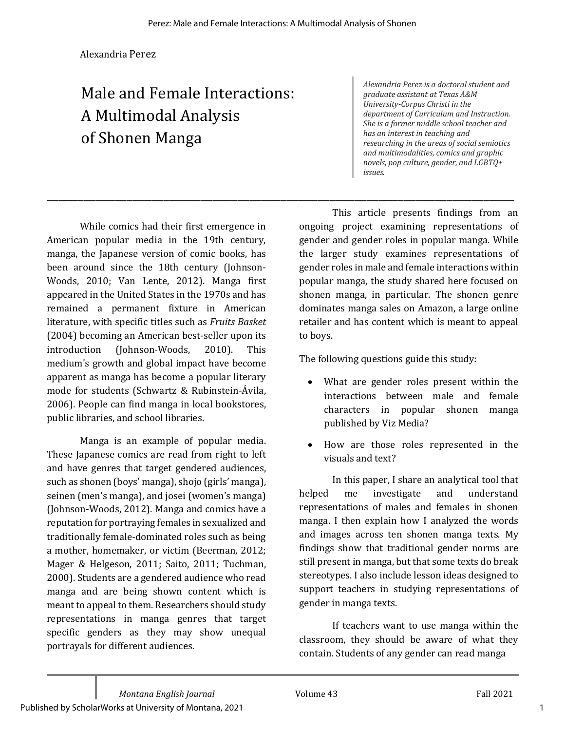\_\_\_\_\_\_\_\_\_\_\_\_\_\_\_\_\_\_\_\_\_\_\_\_\_\_\_\_\_\_\_\_\_\_\_\_\_\_\_\_\_\_\_\_\_\_\_\_\_\_\_\_\_\_\_\_\_\_\_\_\_\_\_\_\_\_\_\_\_\_\_\_\_\_\_\_

Alexandria Perez

# Male and Female Interactions: A Multimodal Analysis of Shonen Manga

*Alexandria Perez is a doctoral student and graduate assistant at Texas A&M University-Corpus Christi in the* department of Curriculum and Instruction. She is a former middle school teacher and has an interest in teaching and researching in the areas of social semiotics *and multimodalities, comics and graphic*  novels, pop culture, gender, and LGBTQ+ *issues.*

While comics had their first emergence in American popular media in the 19th century, manga, the Japanese version of comic books, has been around since the 18th century (Johnson-Woods, 2010; Van Lente, 2012). Manga first appeared in the United States in the 1970s and has remained a permanent fixture in American literature, with specific titles such as *Fruits Basket* (2004) becoming an American best-seller upon its introduction (Johnson-Woods, 2010). This medium's growth and global impact have become apparent as manga has become a popular literary mode for students (Schwartz & Rubinstein-Ávila, 2006). People can find manga in local bookstores, public libraries, and school libraries.

Manga is an example of popular media. These Japanese comics are read from right to left and have genres that target gendered audiences, such as shonen (boys' manga), shojo (girls' manga), seinen (men's manga), and josei (women's manga) (Johnson-Woods, 2012). Manga and comics have a reputation for portraying females in sexualized and traditionally female-dominated roles such as being a mother, homemaker, or victim (Beerman, 2012; Mager & Helgeson, 2011; Saito, 2011; Tuchman, 2000). Students are a gendered audience who read manga and are being shown content which is meant to appeal to them. Researchers should study representations in manga genres that target specific genders as they may show unequal portrayals for different audiences.

This article presents findings from an ongoing project examining representations of gender and gender roles in popular manga. While the larger study examines representations of gender roles in male and female interactions within popular manga, the study shared here focused on shonen manga, in particular. The shonen genre dominates manga sales on Amazon, a large online retailer and has content which is meant to appeal to boys.

The following questions guide this study:

- What are gender roles present within the interactions between male and female characters in popular shonen manga published by Viz Media?
- How are those roles represented in the visuals and text?

In this paper, I share an analytical tool that helped me investigate and understand representations of males and females in shonen manga. I then explain how I analyzed the words and images across ten shonen manga texts. My findings show that traditional gender norms are still present in manga, but that some texts do break stereotypes. I also include lesson ideas designed to support teachers in studying representations of gender in manga texts.

If teachers want to use manga within the classroom, they should be aware of what they contain. Students of any gender can read manga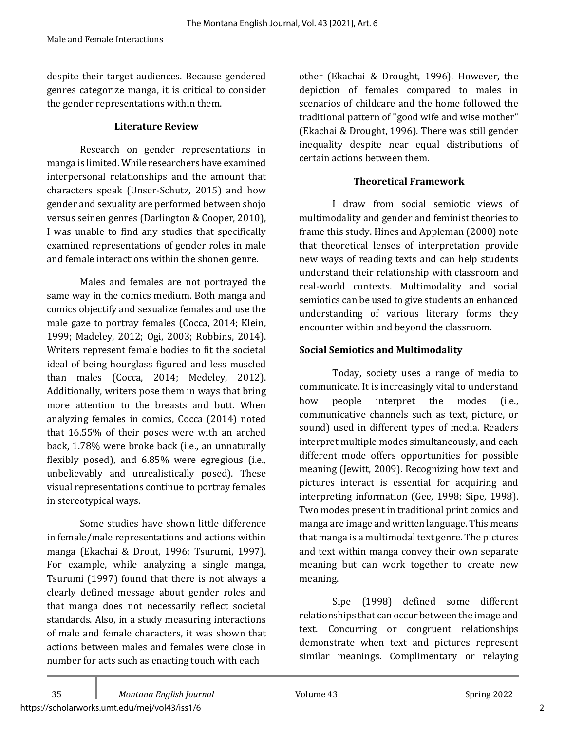despite their target audiences. Because gendered genres categorize manga, it is critical to consider the gender representations within them.

#### **Literature Review**

Research on gender representations in manga is limited. While researchers have examined interpersonal relationships and the amount that characters speak (Unser-Schutz, 2015) and how gender and sexuality are performed between shojo versus seinen genres (Darlington & Cooper, 2010), I was unable to find any studies that specifically examined representations of gender roles in male and female interactions within the shonen genre.

Males and females are not portrayed the same way in the comics medium. Both manga and comics objectify and sexualize females and use the male gaze to portray females (Cocca, 2014; Klein, 1999; Madeley, 2012; Ogi, 2003; Robbins, 2014). Writers represent female bodies to fit the societal ideal of being hourglass figured and less muscled than males  $(Cocca, 2014; Medelev, 2012)$ . Additionally, writers pose them in ways that bring more attention to the breasts and butt. When analyzing females in comics, Cocca (2014) noted that 16.55% of their poses were with an arched back, 1.78% were broke back (i.e., an unnaturally flexibly posed), and  $6.85\%$  were egregious (i.e., unbelievably and unrealistically posed). These visual representations continue to portray females in stereotypical ways.

Some studies have shown little difference in female/male representations and actions within manga (Ekachai & Drout, 1996; Tsurumi, 1997). For example, while analyzing a single manga, Tsurumi (1997) found that there is not always a clearly defined message about gender roles and that manga does not necessarily reflect societal standards. Also, in a study measuring interactions of male and female characters, it was shown that actions between males and females were close in number for acts such as enacting touch with each

other (Ekachai & Drought, 1996). However, the depiction of females compared to males in scenarios of childcare and the home followed the traditional pattern of "good wife and wise mother" (Ekachai & Drought, 1996). There was still gender inequality despite near equal distributions of certain actions between them.

#### **Theoretical Framework**

I draw from social semiotic views of multimodality and gender and feminist theories to frame this study. Hines and Appleman (2000) note that theoretical lenses of interpretation provide new ways of reading texts and can help students understand their relationship with classroom and real-world contexts. Multimodality and social semiotics can be used to give students an enhanced understanding of various literary forms they encounter within and beyond the classroom.

#### **Social Semiotics and Multimodality**

Today, society uses a range of media to communicate. It is increasingly vital to understand how people interpret the modes (i.e., communicative channels such as text, picture, or sound) used in different types of media. Readers interpret multiple modes simultaneously, and each different mode offers opportunities for possible meaning (Jewitt, 2009). Recognizing how text and pictures interact is essential for acquiring and interpreting information (Gee, 1998; Sipe, 1998). Two modes present in traditional print comics and manga are image and written language. This means that manga is a multimodal text genre. The pictures and text within manga convey their own separate meaning but can work together to create new meaning. 

Sipe (1998) defined some different relationships that can occur between the image and text. Concurring or congruent relationships demonstrate when text and pictures represent similar meanings. Complimentary or relaying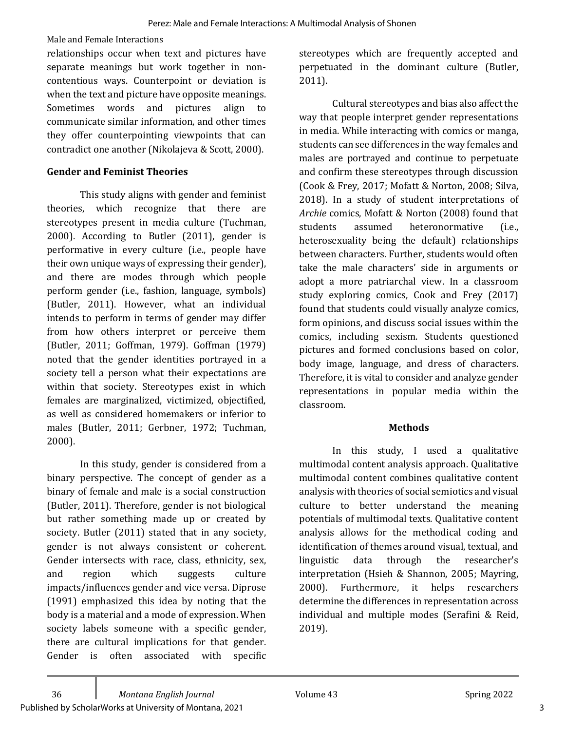Male and Female Interactions

relationships occur when text and pictures have separate meanings but work together in noncontentious ways. Counterpoint or deviation is when the text and picture have opposite meanings. Sometimes words and pictures align to communicate similar information, and other times they offer counterpointing viewpoints that can contradict one another (Nikolajeva & Scott, 2000).

#### **Gender and Feminist Theories**

This study aligns with gender and feminist theories, which recognize that there are stereotypes present in media culture (Tuchman, 2000). According to Butler (2011), gender is performative in every culture (i.e., people have their own unique ways of expressing their gender), and there are modes through which people perform gender (i.e., fashion, language, symbols) (Butler, 2011). However, what an individual intends to perform in terms of gender may differ from how others interpret or perceive them (Butler, 2011; Goffman, 1979). Goffman (1979). noted that the gender identities portrayed in a society tell a person what their expectations are within that society. Stereotypes exist in which females are marginalized, victimized, objectified, as well as considered homemakers or inferior to males (Butler, 2011; Gerbner, 1972; Tuchman, 2000). 

In this study, gender is considered from a binary perspective. The concept of gender as a binary of female and male is a social construction (Butler, 2011). Therefore, gender is not biological but rather something made up or created by society. Butler  $(2011)$  stated that in any society, gender is not always consistent or coherent. Gender intersects with race, class, ethnicity, sex, and region which suggests culture impacts/influences gender and vice versa. Diprose  $(1991)$  emphasized this idea by noting that the body is a material and a mode of expression. When society labels someone with a specific gender, there are cultural implications for that gender. Gender is often associated with specific

stereotypes which are frequently accepted and perpetuated in the dominant culture (Butler, 2011). 

Cultural stereotypes and bias also affect the way that people interpret gender representations in media. While interacting with comics or manga, students can see differences in the way females and males are portrayed and continue to perpetuate and confirm these stereotypes through discussion (Cook & Frey, 2017; Mofatt & Norton, 2008; Silva, 2018). In a study of student interpretations of Archie comics, Mofatt & Norton (2008) found that students assumed heteronormative (i.e., heterosexuality being the default) relationships between characters. Further, students would often take the male characters' side in arguments or adopt a more patriarchal view. In a classroom study exploring comics, Cook and Frey (2017) found that students could visually analyze comics, form opinions, and discuss social issues within the comics, including sexism. Students questioned pictures and formed conclusions based on color, body image, language, and dress of characters. Therefore, it is vital to consider and analyze gender representations in popular media within the classroom. 

#### **Methods**

In this study, I used a qualitative multimodal content analysis approach. Qualitative multimodal content combines qualitative content analysis with theories of social semiotics and visual culture to better understand the meaning potentials of multimodal texts. Qualitative content analysis allows for the methodical coding and identification of themes around visual, textual, and linguistic data through the researcher's interpretation (Hsieh & Shannon, 2005; Mayring, 2000). Furthermore, it helps researchers determine the differences in representation across individual and multiple modes (Serafini & Reid, 2019).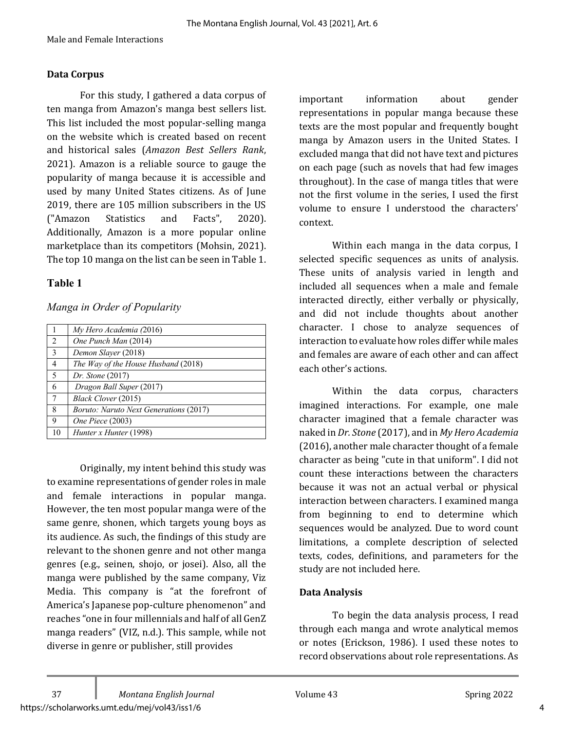#### **Data Corpus**

For this study, I gathered a data corpus of ten manga from Amazon's manga best sellers list. This list included the most popular-selling manga on the website which is created based on recent and historical sales (*Amazon Best Sellers Rank*,  $2021$ ). Amazon is a reliable source to gauge the popularity of manga because it is accessible and used by many United States citizens. As of June 2019, there are 105 million subscribers in the US ("Amazon Statistics and Facts", 2020). Additionally, Amazon is a more popular online marketplace than its competitors (Mohsin, 2021). The top 10 manga on the list can be seen in Table 1.

#### **Table 1**

#### *Manga in Order of Popularity*

|                 | My Hero Academia (2016)                       |
|-----------------|-----------------------------------------------|
| 2               | One Punch Man (2014)                          |
| $\overline{3}$  | Demon Slayer (2018)                           |
| $\overline{4}$  | The Way of the House Husband (2018)           |
| 5               | <i>Dr. Stone</i> (2017)                       |
| 6               | Dragon Ball Super (2017)                      |
| $7\phantom{.0}$ | Black Clover (2015)                           |
| 8               | <i>Boruto: Naruto Next Generations (2017)</i> |
| 9               | One Piece (2003)                              |
| 10              | Hunter x Hunter (1998)                        |

Originally, my intent behind this study was to examine representations of gender roles in male and female interactions in popular manga. However, the ten most popular manga were of the same genre, shonen, which targets young boys as its audience. As such, the findings of this study are relevant to the shonen genre and not other manga genres (e.g., seinen, shojo, or josei). Also, all the manga were published by the same company, Viz Media. This company is "at the forefront of America's Japanese pop-culture phenomenon" and reaches "one in four millennials and half of all GenZ manga readers" (VIZ, n.d.). This sample, while not diverse in genre or publisher, still provides

important information about gender representations in popular manga because these texts are the most popular and frequently bought manga by Amazon users in the United States. I excluded manga that did not have text and pictures on each page (such as novels that had few images throughout). In the case of manga titles that were not the first volume in the series. I used the first volume to ensure I understood the characters' context.

Within each manga in the data corpus, I selected specific sequences as units of analysis. These units of analysis varied in length and included all sequences when a male and female interacted directly, either verbally or physically, and did not include thoughts about another character. I chose to analyze sequences of interaction to evaluate how roles differ while males and females are aware of each other and can affect each other's actions.

Within the data corpus, characters imagined interactions. For example, one male character imagined that a female character was naked in *Dr. Stone* (2017), and in *My Hero Academia* (2016), another male character thought of a female character as being "cute in that uniform". I did not count these interactions between the characters because it was not an actual verbal or physical interaction between characters. I examined manga from beginning to end to determine which sequences would be analyzed. Due to word count limitations, a complete description of selected texts, codes, definitions, and parameters for the study are not included here.

## **Data Analysis**

To begin the data analysis process, I read through each manga and wrote analytical memos or notes (Erickson, 1986). I used these notes to record observations about role representations. As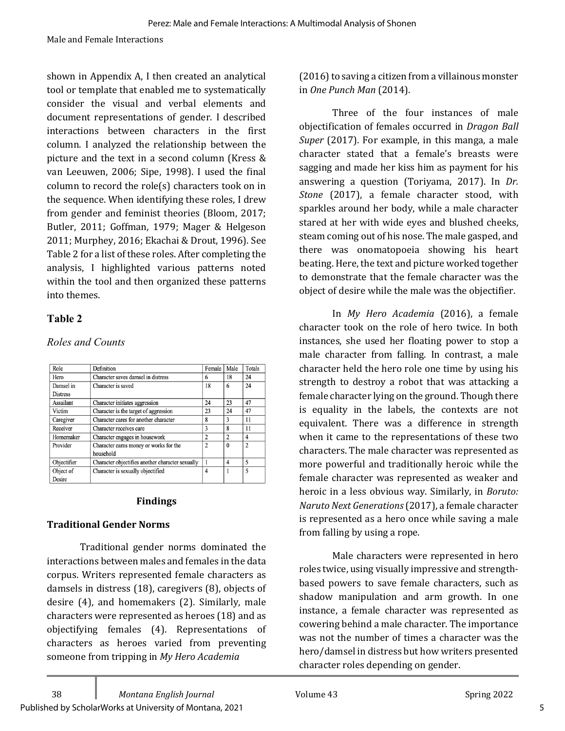shown in Appendix A, I then created an analytical tool or template that enabled me to systematically consider the visual and verbal elements and document representations of gender. I described interactions between characters in the first column. I analyzed the relationship between the picture and the text in a second column (Kress  $&$ van Leeuwen, 2006; Sipe, 1998). I used the final  $column to record the role(s) characters took on in$ the sequence. When identifying these roles, I drew from gender and feminist theories (Bloom, 2017; Butler, 2011; Goffman, 1979; Mager & Helgeson 2011; Murphey, 2016; Ekachai & Drout, 1996). See Table 2 for a list of these roles. After completing the analysis, I highlighted various patterns noted within the tool and then organized these patterns into themes.

# **Table 2**

## *Roles and Counts*

| Role            | Definition                                       |                | Male           | Totals         |
|-----------------|--------------------------------------------------|----------------|----------------|----------------|
| Hero            | Character saves damsel in distress               | 6              | 18             | 24             |
| Damsel in       | Character is saved                               | 18             | 6              | 24             |
| <b>Distress</b> |                                                  |                |                |                |
| Assailant       | Character initiates aggression                   | 24             | 23             | 47             |
| Victim          | Character is the target of aggression            | 23             | 24             | 47             |
| Caregiver       | Character cares for another character            | 8              | 3              | 11             |
| Receiver        | Character receives care                          | 3              | 8              | 11             |
| Homemaker       | Character engages in housework                   | 2              | $\overline{c}$ | 4              |
| Provider        | Character earns money or works for the           | $\overline{2}$ | $\theta$       | $\overline{2}$ |
|                 | household                                        |                |                |                |
| Objectifier     | Character objectifies another character sexually |                | 4              | 5              |
| Object of       | Character is sexually objectified                | 4              |                | 5              |
| Desire          |                                                  |                |                |                |

#### **Findings**

## **Traditional Gender Norms**

Traditional gender norms dominated the interactions between males and females in the data corpus. Writers represented female characters as damsels in distress  $(18)$ , caregivers  $(8)$ , objects of desire  $(4)$ , and homemakers  $(2)$ . Similarly, male characters were represented as heroes (18) and as objectifying females (4). Representations of characters as heroes varied from preventing someone from tripping in *My Hero Academia* 

(2016) to saving a citizen from a villainous monster in *One Punch Man* (2014). 

Three of the four instances of male objectification of females occurred in *Dragon Ball Super* (2017). For example, in this manga, a male character stated that a female's breasts were sagging and made her kiss him as payment for his answering a question (Toriyama, 2017). In *Dr. Stone* (2017), a female character stood, with sparkles around her body, while a male character stared at her with wide eyes and blushed cheeks, steam coming out of his nose. The male gasped, and there was onomatopoeia showing his heart beating. Here, the text and picture worked together to demonstrate that the female character was the object of desire while the male was the objectifier.

In *My Hero Academia*  (2016), a female character took on the role of hero twice. In both instances, she used her floating power to stop a male character from falling. In contrast, a male character held the hero role one time by using his strength to destroy a robot that was attacking a female character lying on the ground. Though there is equality in the labels, the contexts are not equivalent. There was a difference in strength when it came to the representations of these two characters. The male character was represented as more powerful and traditionally heroic while the female character was represented as weaker and heroic in a less obvious way. Similarly, in *Boruto: Naruto Next Generations* (2017), a female character is represented as a hero once while saving a male from falling by using a rope.

Male characters were represented in hero roles twice, using visually impressive and strengthbased powers to save female characters, such as shadow manipulation and arm growth. In one instance, a female character was represented as cowering behind a male character. The importance was not the number of times a character was the hero/damsel in distress but how writers presented character roles depending on gender.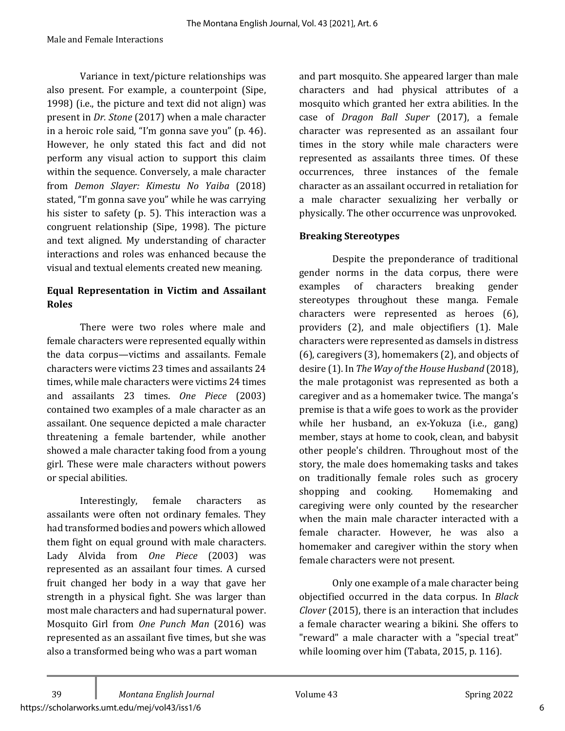Variance in text/picture relationships was also present. For example, a counterpoint (Sipe, 1998) (i.e., the picture and text did not align) was present in *Dr. Stone* (2017) when a male character in a heroic role said, "I'm gonna save you" (p. 46). However, he only stated this fact and did not perform any visual action to support this claim within the sequence. Conversely, a male character from *Demon Slayer: Kimestu No Yaiba* (2018) stated, "I'm gonna save you" while he was carrying his sister to safety (p.  $5$ ). This interaction was a congruent relationship (Sipe, 1998). The picture and text aligned. My understanding of character interactions and roles was enhanced because the visual and textual elements created new meaning.

## **Equal Representation in Victim and Assailant Roles**

There were two roles where male and female characters were represented equally within the data corpus-victims and assailants. Female characters were victims 23 times and assailants 24 times, while male characters were victims 24 times and assailants 23 times. *One Piece* (2003) contained two examples of a male character as an assailant. One sequence depicted a male character threatening a female bartender, while another showed a male character taking food from a young girl. These were male characters without powers or special abilities.

Interestingly, female characters as assailants were often not ordinary females. They had transformed bodies and powers which allowed them fight on equal ground with male characters. Lady Alvida from *One Piece* (2003) was represented as an assailant four times. A cursed fruit changed her body in a way that gave her strength in a physical fight. She was larger than most male characters and had supernatural power. Mosquito Girl from One Punch Man (2016) was represented as an assailant five times, but she was also a transformed being who was a part woman

and part mosquito. She appeared larger than male characters and had physical attributes of a mosquito which granted her extra abilities. In the case of *Dragon Ball Super* (2017), a female character was represented as an assailant four times in the story while male characters were represented as assailants three times. Of these occurrences, three instances of the female character as an assailant occurred in retaliation for a male character sexualizing her verbally or physically. The other occurrence was unprovoked.

## **Breaking Stereotypes**

Despite the preponderance of traditional gender norms in the data corpus, there were examples of characters breaking gender stereotypes throughout these manga. Female characters were represented as heroes (6), providers (2), and male objectifiers (1). Male characters were represented as damsels in distress  $(6)$ , caregivers  $(3)$ , homemakers  $(2)$ , and objects of desire (1). In *The Way of the House Husband* (2018), the male protagonist was represented as both a caregiver and as a homemaker twice. The manga's premise is that a wife goes to work as the provider while her husband, an ex-Yokuza (i.e., gang) member, stays at home to cook, clean, and babysit other people's children. Throughout most of the story, the male does homemaking tasks and takes on traditionally female roles such as grocery shopping and cooking. Homemaking and caregiving were only counted by the researcher when the main male character interacted with a female character. However, he was also a homemaker and caregiver within the story when female characters were not present.

Only one example of a male character being objectified occurred in the data corpus. In *Black Clover* (2015), there is an interaction that includes a female character wearing a bikini. She offers to "reward" a male character with a "special treat" while looming over him (Tabata, 2015, p. 116).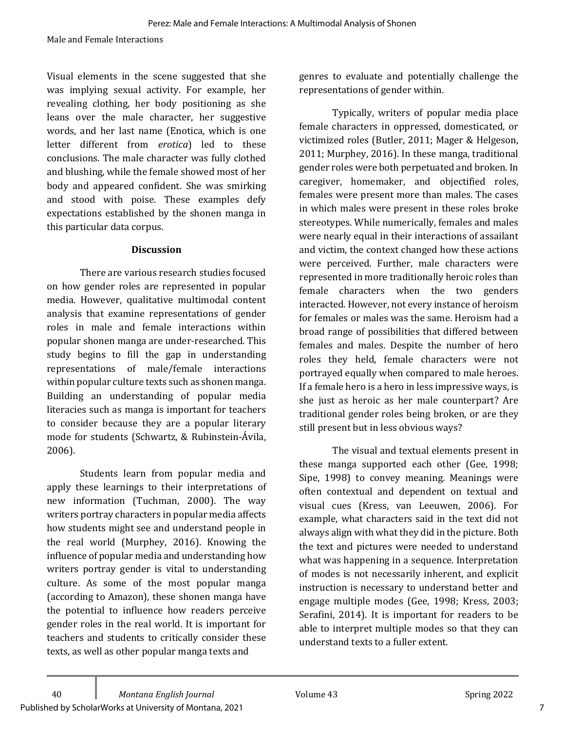Visual elements in the scene suggested that she was implying sexual activity. For example, her revealing clothing, her body positioning as she leans over the male character, her suggestive words, and her last name (Enotica, which is one letter different from erotica) led to these conclusions. The male character was fully clothed and blushing, while the female showed most of her body and appeared confident. She was smirking and stood with poise. These examples defy expectations established by the shonen manga in this particular data corpus.

#### **Discussion**

There are various research studies focused on how gender roles are represented in popular media. However, qualitative multimodal content analysis that examine representations of gender roles in male and female interactions within popular shonen manga are under-researched. This study begins to fill the gap in understanding representations of male/female interactions within popular culture texts such as shonen manga. Building an understanding of popular media literacies such as manga is important for teachers to consider because they are a popular literary mode for students (Schwartz, & Rubinstein-Ávila, 2006). 

Students learn from popular media and apply these learnings to their interpretations of new information (Tuchman, 2000). The way writers portray characters in popular media affects how students might see and understand people in the real world (Murphey, 2016). Knowing the influence of popular media and understanding how writers portray gender is vital to understanding culture. As some of the most popular manga (according to Amazon), these shonen manga have the potential to influence how readers perceive gender roles in the real world. It is important for teachers and students to critically consider these texts, as well as other popular manga texts and

genres to evaluate and potentially challenge the representations of gender within.

Typically, writers of popular media place female characters in oppressed, domesticated, or victimized roles (Butler, 2011; Mager & Helgeson, 2011; Murphey, 2016). In these manga, traditional gender roles were both perpetuated and broken. In caregiver, homemaker, and objectified roles, females were present more than males. The cases in which males were present in these roles broke stereotypes. While numerically, females and males were nearly equal in their interactions of assailant and victim, the context changed how these actions were perceived. Further, male characters were represented in more traditionally heroic roles than female characters when the two genders interacted. However, not every instance of heroism for females or males was the same. Heroism had a broad range of possibilities that differed between females and males. Despite the number of hero roles they held, female characters were not portrayed equally when compared to male heroes. If a female hero is a hero in less impressive ways, is she just as heroic as her male counterpart? Are traditional gender roles being broken, or are they still present but in less obvious ways?

The visual and textual elements present in these manga supported each other (Gee, 1998; Sipe, 1998) to convey meaning. Meanings were often contextual and dependent on textual and visual cues (Kress, van Leeuwen, 2006). For example, what characters said in the text did not always align with what they did in the picture. Both the text and pictures were needed to understand what was happening in a sequence. Interpretation of modes is not necessarily inherent, and explicit instruction is necessary to understand better and engage multiple modes (Gee, 1998; Kress, 2003; Serafini,  $2014$ ). It is important for readers to be able to interpret multiple modes so that they can understand texts to a fuller extent.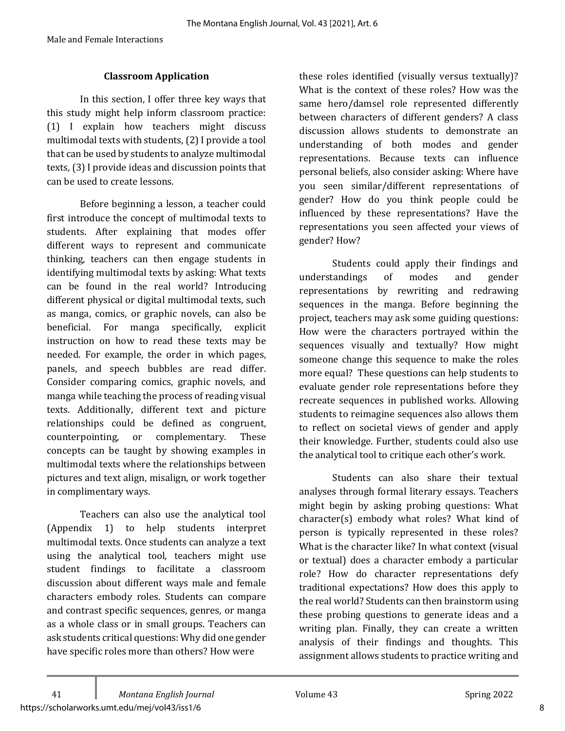#### **Classroom Application**

In this section, I offer three key ways that this study might help inform classroom practice: (1) I explain how teachers might discuss multimodal texts with students, (2) I provide a tool that can be used by students to analyze multimodal texts, (3) I provide ideas and discussion points that can be used to create lessons.

Before beginning a lesson, a teacher could first introduce the concept of multimodal texts to students. After explaining that modes offer different ways to represent and communicate thinking, teachers can then engage students in identifying multimodal texts by asking: What texts can be found in the real world? Introducing different physical or digital multimodal texts, such as manga, comics, or graphic novels, can also be beneficial. For manga specifically, explicit instruction on how to read these texts may be needed. For example, the order in which pages, panels, and speech bubbles are read differ. Consider comparing comics, graphic novels, and manga while teaching the process of reading visual texts. Additionally, different text and picture relationships could be defined as congruent, counterpointing, or complementary. These concepts can be taught by showing examples in multimodal texts where the relationships between pictures and text align, misalign, or work together in complimentary ways.

Teachers can also use the analytical tool (Appendix 1) to help students interpret multimodal texts. Once students can analyze a text using the analytical tool, teachers might use student findings to facilitate a classroom discussion about different ways male and female characters embody roles. Students can compare and contrast specific sequences, genres, or manga as a whole class or in small groups. Teachers can ask students critical questions: Why did one gender have specific roles more than others? How were

these roles identified (visually versus textually)? What is the context of these roles? How was the same hero/damsel role represented differently between characters of different genders? A class discussion allows students to demonstrate an understanding of both modes and gender representations. Because texts can influence personal beliefs, also consider asking: Where have you seen similar/different representations of gender? How do you think people could be influenced by these representations? Have the representations you seen affected your views of gender? How?

Students could apply their findings and understandings of modes and gender representations by rewriting and redrawing sequences in the manga. Before beginning the project, teachers may ask some guiding questions: How were the characters portrayed within the sequences visually and textually? How might someone change this sequence to make the roles more equal? These questions can help students to evaluate gender role representations before they recreate sequences in published works. Allowing students to reimagine sequences also allows them to reflect on societal views of gender and apply their knowledge. Further, students could also use the analytical tool to critique each other's work.

Students can also share their textual analyses through formal literary essays. Teachers might begin by asking probing questions: What  $character(s)$  embody what roles? What kind of person is typically represented in these roles? What is the character like? In what context (visual or textual) does a character embody a particular role? How do character representations defy traditional expectations? How does this apply to the real world? Students can then brainstorm using these probing questions to generate ideas and a writing plan. Finally, they can create a written analysis of their findings and thoughts. This assignment allows students to practice writing and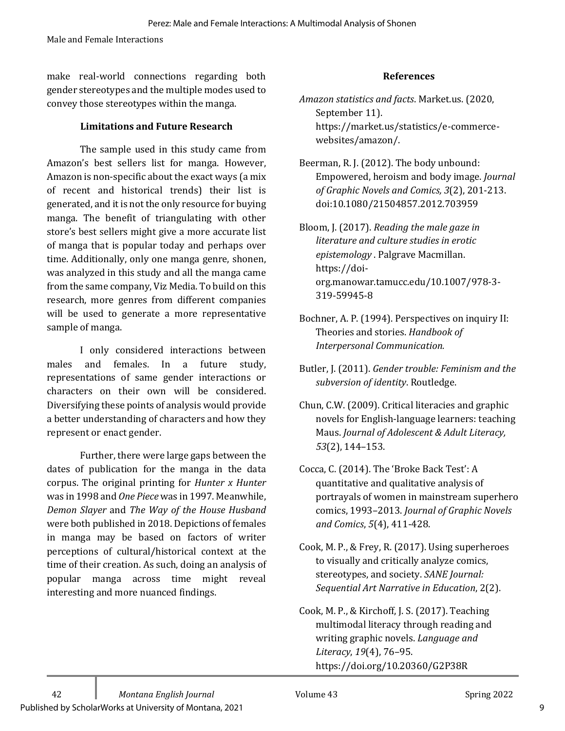make real-world connections regarding both gender stereotypes and the multiple modes used to convey those stereotypes within the manga.

#### **Limitations and Future Research**

The sample used in this study came from Amazon's best sellers list for manga. However, Amazon is non-specific about the exact ways (a mix of recent and historical trends) their list is generated, and it is not the only resource for buying manga. The benefit of triangulating with other store's best sellers might give a more accurate list of manga that is popular today and perhaps over time. Additionally, only one manga genre, shonen, was analyzed in this study and all the manga came from the same company, Viz Media. To build on this research, more genres from different companies will be used to generate a more representative sample of manga.

I only considered interactions between males and females. In a future study, representations of same gender interactions or characters on their own will be considered. Diversifying these points of analysis would provide a better understanding of characters and how they represent or enact gender.

Further, there were large gaps between the dates of publication for the manga in the data corpus. The original printing for *Hunter x Hunter* was in 1998 and *One Piece* was in 1997. Meanwhile, *Demon Slayer* and *The Way of the House Husband* were both published in 2018. Depictions of females in manga may be based on factors of writer perceptions of cultural/historical context at the time of their creation. As such, doing an analysis of popular manga across time might reveal interesting and more nuanced findings.

#### **References**

- *Amazon statistics and facts*. Market.us. (2020, September 11). https://market.us/statistics/e-commercewebsites/amazon/.
- Beerman, R. J. (2012). The body unbound: Empowered, heroism and body image. *Journal of Graphic Novels and Comics, 3*(2), 201-213. doi:10.1080/21504857.2012.703959

Bloom, J. (2017). *Reading the male gaze in literature and culture studies in erotic epistemology* . Palgrave Macmillan. https://doiorg.manowar.tamucc.edu/10.1007/978-3- 319-59945-8

- Bochner, A. P. (1994). Perspectives on inquiry II: Theories and stories. *Handbook of* **Interpersonal Communication.**
- Butler, J. (2011). *Gender trouble: Feminism and the* subversion of identity. Routledge.
- Chun, C.W. (2009). Critical literacies and graphic novels for English-language learners: teaching Maus. *Journal of Adolescent & Adult Literacy*, *53*(2), 144–153.
- Cocca, C. (2014). The 'Broke Back Test': A quantitative and qualitative analysis of portrayals of women in mainstream superhero comics, 1993-2013. *Journal of Graphic Novels and Comics*, *5*(4), 411-428.
- Cook, M. P., & Frey, R. (2017). Using superheroes to visually and critically analyze comics, stereotypes, and society. *SANE Journal: Sequential Art Narrative in Education, 2(2).*
- Cook, M. P., & Kirchoff, J. S. (2017). Teaching multimodal literacy through reading and writing graphic novels. *Language and Literacy*, *19*(4), 76–95. https://doi.org/10.20360/G2P38R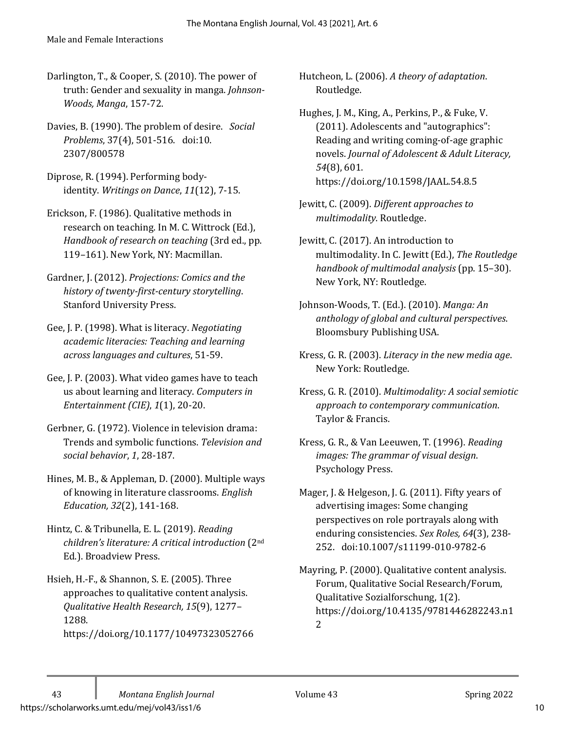- Darlington, T., & Cooper, S. (2010). The power of truth: Gender and sexuality in manga. *Johnson-Woods, Manga*, 157-72.
- Davies, B. (1990). The problem of desire. Social *Problems*, 37(4), 501-516. doi:10. 2307/800578
- Diprose, R. (1994). Performing bodyidentity. *Writings on Dance*, *11*(12), 7-15.
- Erickson, F. (1986). Qualitative methods in research on teaching. In M. C. Wittrock (Ed.), *Handbook of research on teaching* (3rd ed., pp. 119-161). New York, NY: Macmillan.
- Gardner, J. (2012). *Projections: Comics and the history of twenty-first-century storytelling*. Stanford University Press.
- Gee, J. P. (1998). What is literacy. *Negotiating academic literacies: Teaching and learning across languages and cultures*, 51-59.
- Gee, J. P. (2003). What video games have to teach us about learning and literacy. *Computers in Entertainment (CIE)*, 1(1), 20-20.
- Gerbner, G. (1972). Violence in television drama: Trends and symbolic functions. *Television and social behavior*, *1*, 28-187.
- Hines, M. B., & Appleman, D. (2000). Multiple ways of knowing in literature classrooms. *English Education, 32*(2), 141-168.
- Hintz, C. & Tribunella, E. L. (2019). *Reading children's literature: A critical introduction* (2nd Ed.). Broadview Press.
- Hsieh, H.-F., & Shannon, S. E. (2005). Three approaches to qualitative content analysis. *Qualitative Health Research, 15*(9), 1277– 1288. https://doi.org/10.1177/10497323052766

Hutcheon, L. (2006). A theory of adaptation. Routledge.

Hughes, J. M., King, A., Perkins, P., & Fuke, V. (2011). Adolescents and "autographics": Reading and writing coming-of-age graphic novels. *Journal of Adolescent & Adult Literacy*, *54*(8), 601. https://doi.org/10.1598/JAAL.54.8.5

- Jewitt, C. (2009). *Different approaches to multimodality*. Routledge.
- Jewitt, C. (2017). An introduction to multimodality. In C. Jewitt (Ed.), *The Routledge handbook of multimodal analysis* (pp. 15–30). New York, NY: Routledge.
- Johnson-Woods, T. (Ed.). (2010). *Manga: An anthology of global and cultural perspectives*. Bloomsbury Publishing USA.
- Kress, G. R. (2003). Literacy in the new media age. New York: Routledge.
- Kress, G. R. (2010). *Multimodality: A social semiotic approach to contemporary communication*. Taylor & Francis.
- Kress, G. R., & Van Leeuwen, T. (1996). *Reading images: The grammar of visual design.* Psychology Press.
- Mager, J. & Helgeson, J. G. (2011). Fifty years of advertising images: Some changing perspectives on role portrayals along with enduring consistencies. Sex Roles, 64(3), 238-252. doi:10.1007/s11199-010-9782-6
- Mayring, P. (2000). Qualitative content analysis. Forum, Qualitative Social Research/Forum, Qualitative Sozialforschung, 1(2). https://doi.org/10.4135/9781446282243.n1 2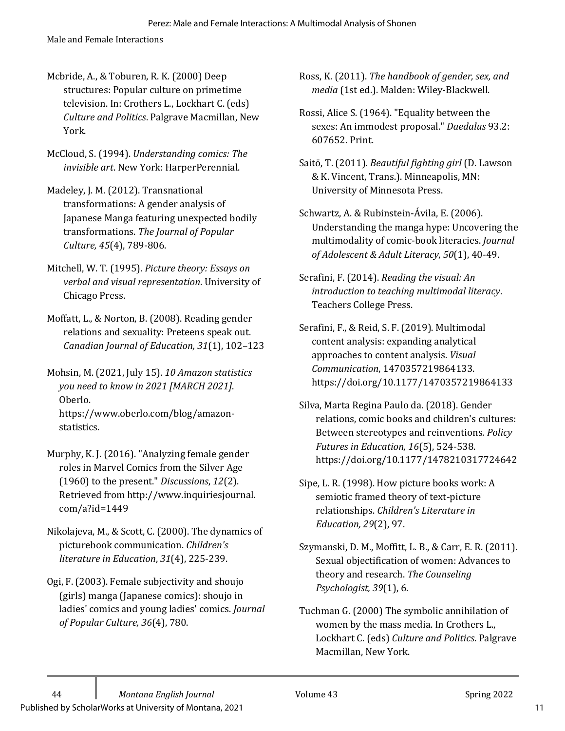Male and Female Interactions

- Mcbride, A., & Toburen, R. K. (2000) Deep structures: Popular culture on primetime television. In: Crothers L., Lockhart C. (eds) *Culture and Politics*. Palgrave Macmillan, New York.
- McCloud, S. (1994). *Understanding comics: The invisible art.* New York: HarperPerennial.
- Madeley, J. M. (2012). Transnational transformations: A gender analysis of Japanese Manga featuring unexpected bodily transformations. *The Journal of Popular Culture, 45*(4), 789-806.
- Mitchell, W. T. (1995). Picture theory: Essays on *verbal and visual representation*. University of Chicago Press.
- Moffatt, L., & Norton, B. (2008). Reading gender relations and sexuality: Preteens speak out. *Canadian Journal of Education, 31*(1), 102–123

Mohsin, M. (2021, July 15). 10 Amazon statistics *you need to know in 2021 [MARCH 2021]*. Oberlo. https://www.oberlo.com/blog/amazonstatistics. 

- Murphy, K. J. (2016). "Analyzing female gender roles in Marvel Comics from the Silver Age (1960) to the present." *Discussions*, 12(2). Retrieved from http://www.inquiriesjournal. com/a?id=1449
- Nikolajeva, M., & Scott, C. (2000). The dynamics of picturebook communication. *Children's literature in Education*,  $31(4)$ , 225-239.
- Ogi, F. (2003). Female subjectivity and shoujo (girls) manga (Japanese comics): shoujo in ladies' comics and young ladies' comics. *Journal of Popular Culture, 36*(4), 780.

Ross, K. (2011). The handbook of gender, sex, and *media* (1st ed.). Malden: Wiley-Blackwell.

- Rossi, Alice S. (1964). "Equality between the sexes: An immodest proposal." *Daedalus* 93.2: 607652. Print.
- Saitō, T. (2011). *Beautiful fighting girl* (D. Lawson & K. Vincent, Trans.). Minneapolis, MN: University of Minnesota Press.
- Schwartz, A. & Rubinstein-Ávila, E. (2006). Understanding the manga hype: Uncovering the multimodality of comic-book literacies. *Journal of Adolescent & Adult Literacy*, *50*(1), 40-49.
- Serafini, F. (2014). *Reading the visual: An introduction to teaching multimodal literacy*. Teachers College Press.
- Serafini, F., & Reid, S. F. (2019). Multimodal content analysis: expanding analytical approaches to content analysis. *Visual Communication*, 1470357219864133. https://doi.org/10.1177/1470357219864133
- Silva, Marta Regina Paulo da. (2018). Gender relations, comic books and children's cultures: Between stereotypes and reinventions. *Policy Futures in Education, 16*(5), 524-538. https://doi.org/10.1177/1478210317724642
- Sipe, L. R. (1998). How picture books work: A semiotic framed theory of text-picture relationships. *Children's Literature in Education, 29*(2), 97.
- Szymanski, D. M., Moffitt, L. B., & Carr, E. R. (2011). Sexual objectification of women: Advances to theory and research. The Counseling *Psychologist, 39*(1), 6.
- Tuchman G. (2000) The symbolic annihilation of women by the mass media. In Crothers L., Lockhart C. (eds) Culture and Politics. Palgrave Macmillan, New York.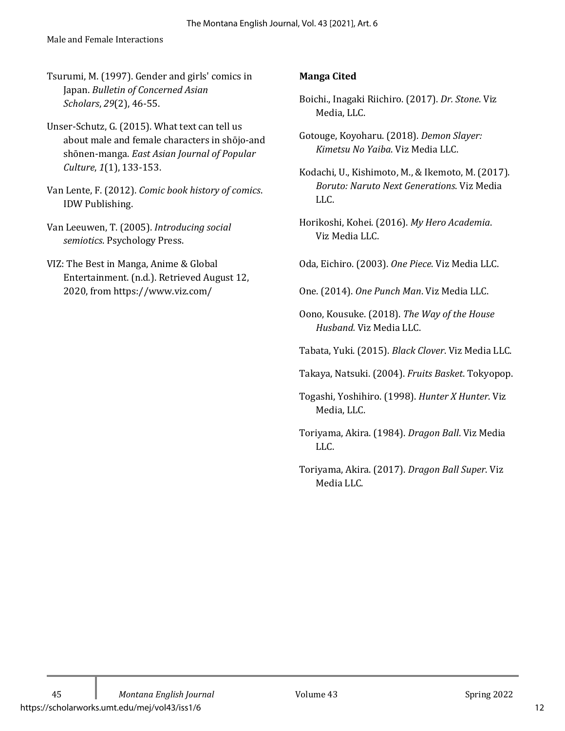Tsurumi, M. (1997). Gender and girls' comics in Japan. *Bulletin of Concerned Asian Scholars*, *29*(2), 46-55.

- Unser-Schutz, G. (2015). What text can tell us about male and female characters in shōjo-and shōnen-manga. *East Asian Journal of Popular Culture*, *1*(1), 133-153.
- Van Lente, F. (2012). *Comic book history of comics*. IDW Publishing.
- Van Leeuwen, T. (2005). *Introducing social semiotics*. Psychology Press.
- VIZ: The Best in Manga, Anime & Global Entertainment. (n.d.). Retrieved August 12, 2020, from https://www.viz.com/

## **Manga Cited**

- Boichi., Inagaki Riichiro. (2017). *Dr. Stone*. Viz Media, LLC.
- Gotouge, Koyoharu. (2018). *Demon Slayer: Kimetsu No Yaiba*. Viz Media LLC.
- Kodachi, U., Kishimoto, M., & Ikemoto, M. (2017). *Boruto: Naruto Next Generations*. Viz Media LLC.
- Horikoshi, Kohei. (2016). My Hero Academia. Viz Media LLC.
- Oda, Eichiro. (2003). One Piece. Viz Media LLC.
- One. (2014). One Punch Man. Viz Media LLC.
- Oono, Kousuke. (2018). The Way of the House *Husband.* Viz Media LLC.
- Tabata, Yuki. (2015). *Black Clover*. Viz Media LLC.
- Takaya, Natsuki. (2004). *Fruits Basket*. Tokyopop.
- Togashi, Yoshihiro. (1998). *Hunter X Hunter*. Viz Media, LLC.
- Toriyama, Akira. (1984). *Dragon Ball*. Viz Media LLC.
- Toriyama, Akira. (2017). *Dragon Ball Super*. Viz Media LLC.